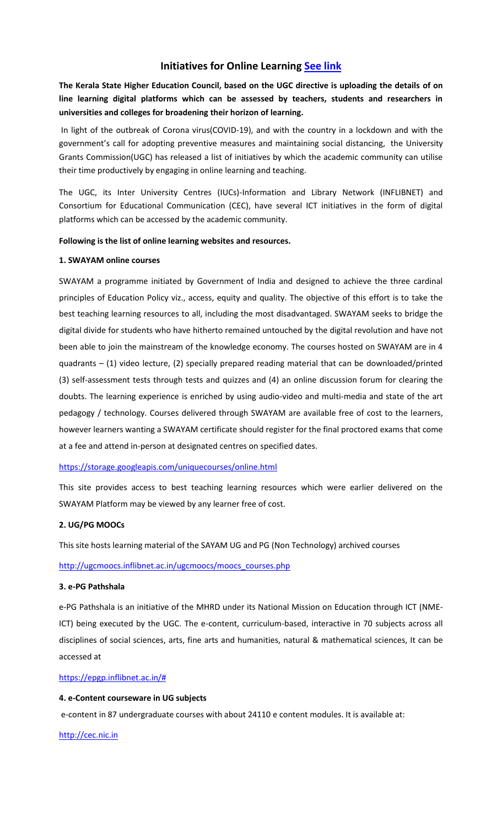# **Initiatives for Online Learning [See link](https://www.ugc.ac.in/pdfnews/1573010_On-Line-Learning---ICT-initiatives-of-MHRD-and-UGC.pdf)**

**The Kerala State Higher Education Council, based on the UGC directive is uploading the details of on line learning digital platforms which can be assessed by teachers, students and researchers in universities and colleges for broadening their horizon of learning.**

In light of the outbreak of Corona virus(COVID-19), and with the country in a lockdown and with the government's call for adopting preventive measures and maintaining social distancing, the University Grants Commission(UGC) has released a list of initiatives by which the academic community can utilise their time productively by engaging in online learning and teaching.

The UGC, its Inter University Centres (IUCs)-Information and Library Network (INFLIBNET) and Consortium for Educational Communication (CEC), have several ICT initiatives in the form of digital platforms which can be accessed by the academic community.

# **Following is the list of online learning websites and resources.**

# **1. SWAYAM online courses**

SWAYAM a programme initiated by Government of India and designed to achieve the three cardinal principles of Education Policy viz., access, equity and quality. The objective of this effort is to take the best teaching learning resources to all, including the most disadvantaged. SWAYAM seeks to bridge the digital divide for students who have hitherto remained untouched by the digital revolution and have not been able to join the mainstream of the knowledge economy. The courses hosted on SWAYAM are in 4 quadrants – (1) video lecture, (2) specially prepared reading material that can be downloaded/printed (3) self-assessment tests through tests and quizzes and (4) an online discussion forum for clearing the doubts. The learning experience is enriched by using audio-video and multi-media and state of the art pedagogy / technology. Courses delivered through SWAYAM are available free of cost to the learners, however learners wanting a SWAYAM certificate should register for the final proctored exams that come at a fee and attend in-person at designated centres on specified dates.

# <https://storage.googleapis.com/uniquecourses/online.html>

This site provides access to best teaching learning resources which were earlier delivered on the SWAYAM Platform may be viewed by any learner free of cost.

### **2. UG/PG MOOCs**

This site hosts learning material of the SAYAM UG and PG (Non Technology) archived courses

# [http://ugcmoocs.inflibnet.ac.in/ugcmoocs/moocs\\_courses.php](http://ugcmoocs.inflibnet.ac.in/ugcmoocs/moocs_courses.php)

### **3. e-PG Pathshala**

e-PG Pathshala is an initiative of the MHRD under its National Mission on Education through ICT (NME-ICT) being executed by the UGC. The e-content, curriculum-based, interactive in 70 subjects across all disciplines of social sciences, arts, fine arts and humanities, natural & mathematical sciences, It can be accessed at

### [https://epgp.inflibnet.ac.in/#](https://epgp.inflibnet.ac.in/)

# **4. e-Content courseware in UG subjects**

e-content in 87 undergraduate courses with about 24110 e content modules. It is available at:

[http://cec.nic.in](http://cec.nic.in/)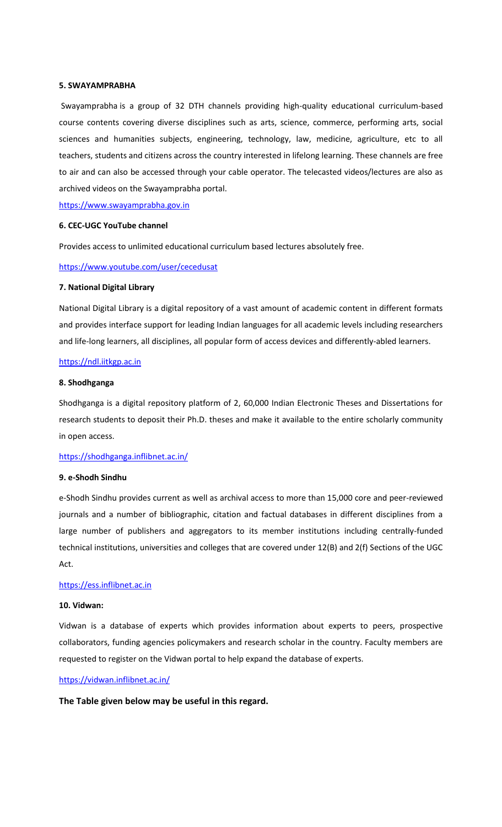### **5. SWAYAMPRABHA**

[Swayamprabha](https://www.swayamprabha.gov.in/) is a group of 32 DTH channels providing high-quality educational curriculum-based course contents covering diverse disciplines such as arts, science, commerce, performing arts, social sciences and humanities subjects, engineering, technology, law, medicine, agriculture, etc to all teachers, students and citizens across the country interested in lifelong learning. These channels are free to air and can also be accessed through your cable operator. The telecasted videos/lectures are also as archived videos on the Swayamprabha portal.

[https://www.swayamprabha.gov.in](https://www.swayamprabha.gov.in/)

# **6. CEC-UGC YouTube channel**

Provides access to unlimited educational curriculum based lectures absolutely free.

# <https://www.youtube.com/user/cecedusat>

# **7. National Digital Library**

National Digital Library is a digital repository of a vast amount of academic content in different formats and provides interface support for leading Indian languages for all academic levels including researchers and life-long learners, all disciplines, all popular form of access devices and differently-abled learners.

# [https://ndl.iitkgp.ac.in](https://ndl.iitkgp.ac.in/)

### **8. Shodhganga**

Shodhganga is a digital repository platform of 2, 60,000 Indian Electronic Theses and Dissertations for research students to deposit their Ph.D. theses and make it available to the entire scholarly community in open access.

# <https://shodhganga.inflibnet.ac.in/>

### **9. e-Shodh Sindhu**

e-Shodh Sindhu provides current as well as archival access to more than 15,000 core and peer-reviewed journals and a number of bibliographic, citation and factual databases in different disciplines from a large number of publishers and aggregators to its member institutions including centrally-funded technical institutions, universities and colleges that are covered under 12(B) and 2(f) Sections of the UGC Act.

# [https://ess.inflibnet.ac.in](https://ess.inflibnet.ac.in/)

### **10. Vidwan:**

Vidwan is a database of experts which provides information about experts to peers, prospective collaborators, funding agencies policymakers and research scholar in the country. Faculty members are requested to register on the Vidwan portal to help expand the database of experts.

### <https://vidwan.inflibnet.ac.in/>

**The Table given below may be useful in this regard.**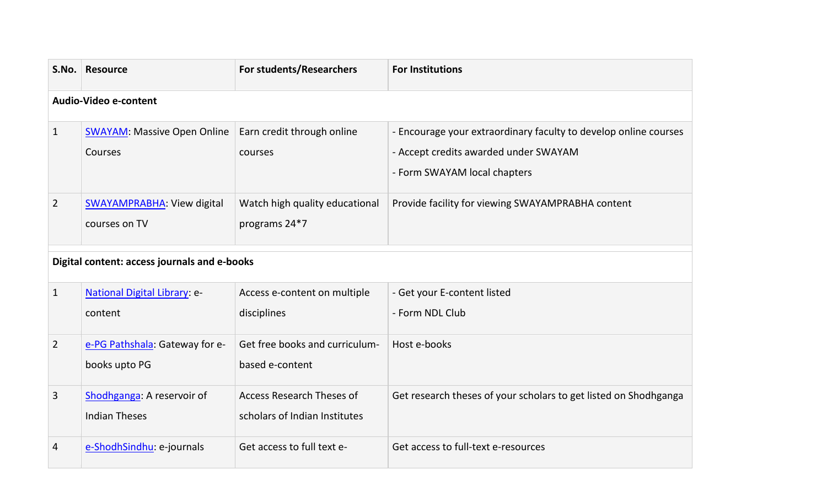| S.No.                                        | <b>Resource</b>                                    | For students/Researchers                                          | <b>For Institutions</b>                                                                                                                   |  |  |  |
|----------------------------------------------|----------------------------------------------------|-------------------------------------------------------------------|-------------------------------------------------------------------------------------------------------------------------------------------|--|--|--|
| Audio-Video e-content                        |                                                    |                                                                   |                                                                                                                                           |  |  |  |
| $\mathbf{1}$                                 | <b>SWAYAM: Massive Open Online</b><br>Courses      | Earn credit through online<br>courses                             | - Encourage your extraordinary faculty to develop online courses<br>- Accept credits awarded under SWAYAM<br>- Form SWAYAM local chapters |  |  |  |
| $\overline{2}$                               | <b>SWAYAMPRABHA: View digital</b><br>courses on TV | Watch high quality educational<br>programs 24*7                   | Provide facility for viewing SWAYAMPRABHA content                                                                                         |  |  |  |
| Digital content: access journals and e-books |                                                    |                                                                   |                                                                                                                                           |  |  |  |
| $\mathbf{1}$                                 | <b>National Digital Library: e-</b><br>content     | Access e-content on multiple<br>disciplines                       | - Get your E-content listed<br>- Form NDL Club                                                                                            |  |  |  |
| $\overline{2}$                               | e-PG Pathshala: Gateway for e-<br>books upto PG    | Get free books and curriculum-<br>based e-content                 | Host e-books                                                                                                                              |  |  |  |
| 3                                            | Shodhganga: A reservoir of<br><b>Indian Theses</b> | <b>Access Research Theses of</b><br>scholars of Indian Institutes | Get research theses of your scholars to get listed on Shodhganga                                                                          |  |  |  |
| 4                                            | e-ShodhSindhu: e-journals                          | Get access to full text e-                                        | Get access to full-text e-resources                                                                                                       |  |  |  |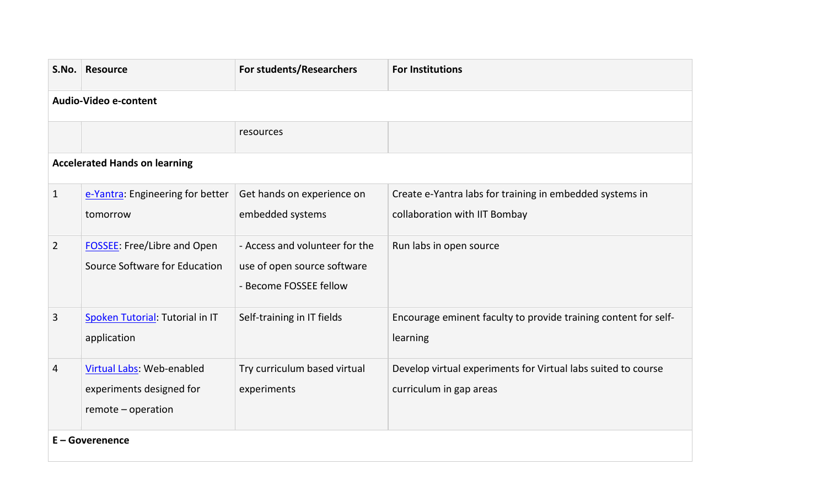| S.No.                                | <b>Resource</b>                                                             | For students/Researchers                                                                | <b>For Institutions</b>                                                                   |  |  |  |
|--------------------------------------|-----------------------------------------------------------------------------|-----------------------------------------------------------------------------------------|-------------------------------------------------------------------------------------------|--|--|--|
| Audio-Video e-content                |                                                                             |                                                                                         |                                                                                           |  |  |  |
|                                      |                                                                             | resources                                                                               |                                                                                           |  |  |  |
| <b>Accelerated Hands on learning</b> |                                                                             |                                                                                         |                                                                                           |  |  |  |
| $\mathbf{1}$                         | e-Yantra: Engineering for better<br>tomorrow                                | Get hands on experience on<br>embedded systems                                          | Create e-Yantra labs for training in embedded systems in<br>collaboration with IIT Bombay |  |  |  |
| $\overline{2}$                       | <b>FOSSEE:</b> Free/Libre and Open<br>Source Software for Education         | - Access and volunteer for the<br>use of open source software<br>- Become FOSSEE fellow | Run labs in open source                                                                   |  |  |  |
| $\overline{3}$                       | Spoken Tutorial: Tutorial in IT<br>application                              | Self-training in IT fields                                                              | Encourage eminent faculty to provide training content for self-<br>learning               |  |  |  |
| 4                                    | Virtual Labs: Web-enabled<br>experiments designed for<br>remote - operation | Try curriculum based virtual<br>experiments                                             | Develop virtual experiments for Virtual labs suited to course<br>curriculum in gap areas  |  |  |  |
| E - Goverenence                      |                                                                             |                                                                                         |                                                                                           |  |  |  |